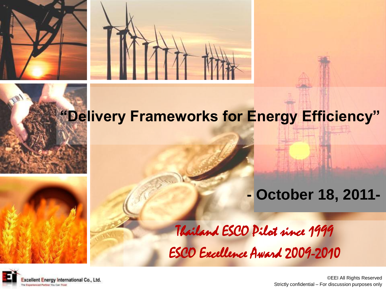



#### **"Delivery Frameworks for Energy Efficiency"**

#### **- October 18, 2011-**

Thailand ESCO Pilot since 1999 ESCO Excellence Award 2009-2010



©EEI All Rights Reserved Strictly confidential – For discussion purposes only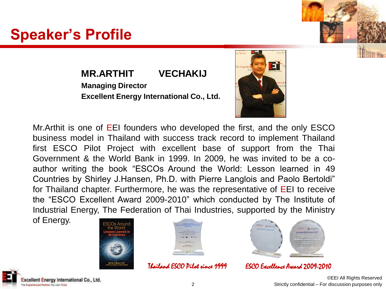#### ©EEI All Rights Reserved

2 Strictly confidential – For discussion purposes only

#### **MR.ARTHIT VECHAKIJ Managing Director**

**Excellent Energy International Co., Ltd.**



of Energy.





Thailand ESCO Pilot since 1999 ESCO Excellence Award 2009-2010





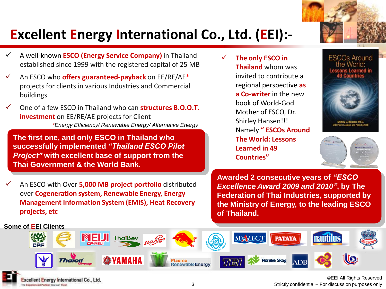

#### **Excellent Energy International Co., Ltd. (EEI):-**

- A well-known **ESCO (Energy Service Company)** in Thailand established since 1999 with the registered capital of 25 MB
- An ESCO who **offers guaranteed-payback** on EE/RE/AE\* projects for clients in various Industries and Commercial buildings
- One of a few ESCO in Thailand who can **structures B.O.O.T. investment** on EE/RE/AE projects for Client *\*Energy Efficiency/ Renewable Energy/ Alternative Energy*

**The first one, and only ESCO in Thailand who successfully implemented** *"Thailand ESCO Pilot Project"* **with excellent base of support from the Thai Government & the World Bank.**

 An ESCO with Over **5,000 MB project portfolio** distributed over **Cogeneration system, Renewable Energy, Energy Management Information System (EMIS), Heat Recovery projects, etc**

cellent Energy International Co., Ltd.

enericed Partner You Can Trust

 **The only ESCO in Thailand** whom was invited to contribute a regional perspective **as a Co-writer** in the new book of World-God Mother of ESCO, Dr. Shirley Hansen!!! Namely **" ESCOs Around The World: Lessons Learned in 49 Countries"** 







**Awarded 2 consecutive years of** *"ESCO Excellence Award 2009 and 2010"***, by The Federation of Thai Industries, supported by the Ministry of Energy, to the leading ESCO of Thailand.**



©EEI All Rights Reserved 3 Strictly confidential – For discussion purposes only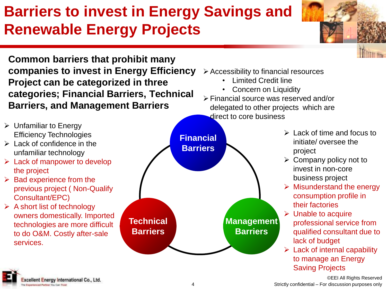## **Barriers to invest in Energy Savings and Renewable Energy Projects**

**Common barriers that prohibit many companies to invest in Energy Efficiency Project can be categorized in three categories; Financial Barriers, Technical Barriers, and Management Barriers**

- $\triangleright$  Unfamiliar to Energy Efficiency Technologies
- $\triangleright$  Lack of confidence in the unfamiliar technology
- $\triangleright$  Lack of manpower to develop the project
- $\triangleright$  Bad experience from the previous project ( Non-Qualify Consultant/EPC)
- A short list of technology owners domestically. Imported technologies are more difficult to do O&M. Costly after-sale services.





- Accessibility to financial resources
	- Limited Credit line
	- Concern on Liquidity
- Financial source was reserved and/or delegated to other projects which are direct to core business
	- $\triangleright$  Lack of time and focus to initiate/ oversee the project
	- $\triangleright$  Company policy not to invest in non-core business project
	- $\triangleright$  Misunderstand the energy consumption profile in their factories
	- $\triangleright$  Unable to acquire professional service from qualified consultant due to lack of budget
	- $\triangleright$  Lack of internal capability to manage an Energy Saving Projects

©EEI All Rights Reserved 4 Strictly confidential – For discussion purposes only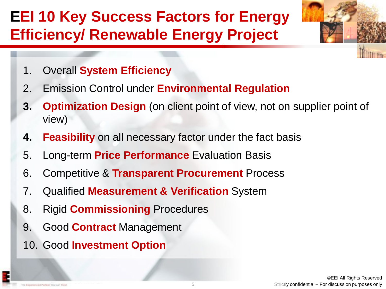### **EEI 10 Key Success Factors for Energy Efficiency/ Renewable Energy Project**

- 1. Overall **System Efficiency**
- 2. Emission Control under **Environmental Regulation**
- **3. Optimization Design** (on client point of view, not on supplier point of view)
- **4. Feasibility** on all necessary factor under the fact basis
- 5. Long-term **Price Performance** Evaluation Basis
- 6. Competitive & **Transparent Procurement** Process
- 7. Qualified **Measurement & Verification** System
- 8. Rigid **Commissioning** Procedures
- 9. Good **Contract** Management
- 10. Good **Investment Option**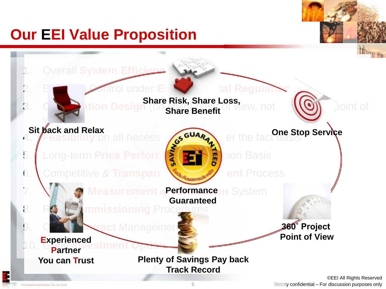### **Our EEI Value Proposition**